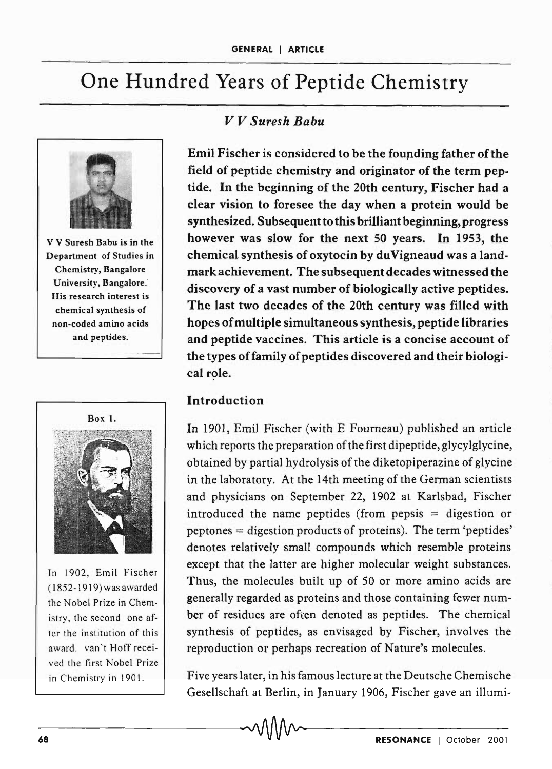# One Hundred Years of Peptide Chemistry



v V Suresh Babu is in the Department of Studies in Chemistry, Bangalore University, Bangalore. His research interest is chemical synthesis of non-coded amino acids and peptides.



In 1902, Emil Fischer (1852-1919) was awarded the Nobel Prize in Chemistry, the second one after the institution of this award. van't Hoff received the first Nobel Prize in Chemistry in 1901.

# *v V Suresh Babu*

Emil Fischer is considered to be the founding father of the field of peptide chemistry and originator of the term peptide. In the beginning of the 20th century, Fischer had a clear vision to foresee the day when a protein would be synthesized. Subsequent to this brilliant beginning, progress however was slow for the next 50 years. In 1953, the chemical synthesis of oxytocin by du Vigneaud was a landmark achievement. The subsequent decades witnessed the discovery of a vast number of biologically active peptides. The last two decades of the 20th century was filled with hopes of multiple simultaneous synthesis, peptide libraries and peptide vaccines. This article is a concise account of the types of family of peptides discovered and their biological role.

## Introduction

In 1901, Emil Fischer (with E Fourneau) published an article which reports the preparation of the first dipeptide, glycylglycine, obtained by partial hydrolysis of the diketopiperazine of glycine in the laboratory. At the 14th meeting of the German scientists and physicians on September 22, 1902 at Karlsbad, Fischer introduced the name peptides (from pepsis = digestion or peptones = digestion products of proteins). The term 'peptides' denotes relatively small compounds which resemble proteins except that the latter are higher molecular weight substances. Thus, the molecules built up of SO or more amino acids are generally regarded as proteins and those containing fewer number of residues are often denoted as peptides. The chemical synthesis of peptides, as envisaged by Fischer, involves the reproduction or perhaps recreation of Nature's molecules.

Five years later, in his famous lecture at the Deutsche Chemische Gesellschaft at Berlin, in January 1906, Fischer gave an illumi-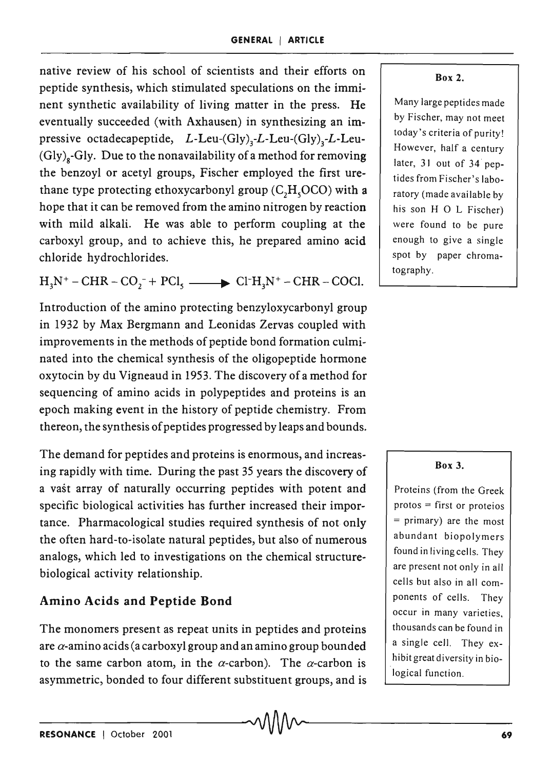native review of his school of scientists and their efforts on peptide synthesis, which stimulated speculations on the imminent synthetic availability of living matter in the press. He eventually succeeded (with Axhausen) in synthesizing an impressive octadecapeptide,  $L$ -Leu-(Gly)<sub>3</sub>-L-Leu-(Gly)<sub>3</sub>-L-Leu- $(Gly)_g-Gly.$  Due to the nonavailability of a method for removing the benzoyl or acetyl groups, Fischer employed the first urethane type protecting ethoxycarbonyl group *(C<sub>2</sub>H<sub>5</sub>OCO)* with a hope that it can be removed from the amino nitrogen by reaction with mild alkali. He was able to perform coupling at the carboxyl group, and to achieve this, he prepared amino acid chloride hydrochlorides.

 $H_3N^+ - CHR - CO_2^- + PCl_3$   $\longrightarrow$   $Cl^+H_3N^+ - CHR - COCl.$ 

Introduction of the amino protecting benzyloxycarbonyl group in 1932 by Max Bergmann and Leonidas Zervas coupled with improvements in the methods of peptide bond formation culminated into the chemical synthesis of the oligopeptide hormone oxytocin by du Vigneaud in 1953. The discovery of a method for sequencing of amino acids in polypeptides and proteins is an epoch making event in the history of peptide chemistry. From thereon, the synthesis of peptides progressed by leaps and bounds.

The demand for peptides and proteins is enormous, and increasing rapidly with time. During the past 35 years the discovery of a vast array of naturally occurring peptides with potent and specific biological activities has further increased their importance. Pharmacological studies required synthesis of not only the often hard-to-isolate natural peptides, but also of numerous analogs, which led to investigations on the chemical structurebiological activity relationship.

# Amino Acids and Peptide Bond

The monomers present as repeat units in peptides and proteins are  $\alpha$ -amino acids (a carboxyl group and an amino group bounded to the same carbon atom, in the  $\alpha$ -carbon). The  $\alpha$ -carbon is asymmetric, bonded to four different substituent groups, and is

## Box 2.

Many large peptides made by Fischer, may not meet today's criteria of purity! However, half a century later, 3) out of 34 peptides from Fischer's laboratory (made available by his son H 0 L Fischer) were found to be pure enough to give a single spot by paper chromatography.

## Box 3.

Proteins (from the Greek protos = first or proteios = primary) are the most abundant biopolymers found in living cells. They are present not only in all cells but also in all components of celIs. They occur in many varieties. thousands can be found in a single cell. They exhibit great diversity in biological function.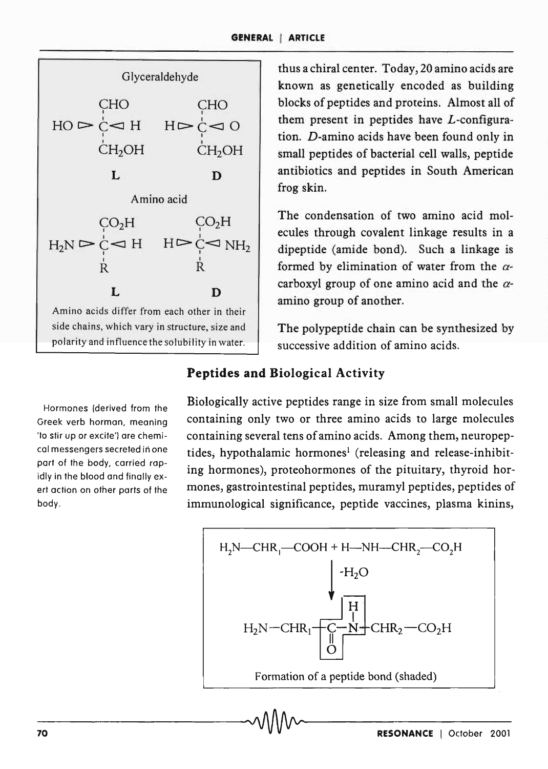

G \veraldehyde thus a chiral center. Today, 20 amino acids are known as genetically encoded as building blocks of peptides and proteins. Almost all of them present in peptides have L-configuration. *D-amino* acids have been found only in small peptides of bacterial cell walls, peptide antibiotics and peptides in South American frog skin.

> The condensation of two amino acid molecules through covalent linkage results in a dipeptide (amide bond). Such a linkage is formed by elimination of water from the  $\alpha$ carboxyl group of one amino acid and the  $\alpha$ amino group of another.

> The polypeptide chain can be synthesized by successive addition of amino acids.

# **Peptides and Biological Activity**

Hormones (derived from the Greek verb horman, meaning 'to stir up or excite') are chemical messengers secreted in one part of the body, carried rapidly in the blood and finally exert action on other parts of the body.

Biologically active peptides range in size from small molecules containing only two or three amino acids to large molecules containing several tens of amino acids. Among them, neuropeptides, hypothalamic hormones<sup>1</sup> (releasing and release-inhibiting hormones), proteohormones of the pituitary, thyroid hormones, gastrointestinal peptides, muramyl peptides, peptides of immunological significance, peptide vaccines, plasma kinins,

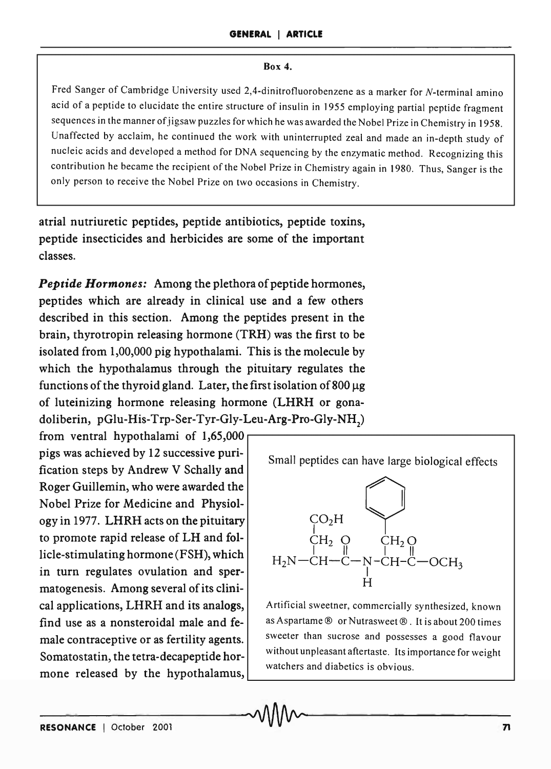#### Box 4.

Fred Sanger of Cambridge University used 2,4-dinitrofluorobenzene as a marker for N-terminal amino acid of a peptide to elucidate the entire structure of insulin in 1955 employing partial peptide fragment sequences in the manner of jigsaw puzzles for which he was awarded the Nobel Prize in Chemistry in 1958. Unaffected by acclaim, he continued the work with uninterrupted zeal and made an in-depth study of nucleic acids and developed a method for DNA sequencing by the enzymatic method. Recognizing this contribution he became the recipient of the Nobel Prize in Chemistry again in 1980. Thus, Sanger is the only person to receive the Nobel Prize on two occasions in Chemistry.

atrial nutriuretic peptides, peptide antibiotics, peptide toxins, peptide insecticides and herbicides are some of the important classes.

*Peptide Hormones:* Among the plethora of peptide hormones, peptides which are already in clinical use and a few others described in this section. Among the peptides present in the brain, thyrotropin releasing hormone (TRH) was the first to be isolated from 1,00,000 pig hypothalami. This is the molecule by which the hypothalamus through the pituitary regulates the functions of the thyroid gland. Later, the first isolation of  $800 \mu$ g of luteinizing hormone releasing hormone (LHRH or gonadoliberin, pGlu-His-Trp-Ser-Tyr-Gly-Leu-Arg-Pro-Gly-NH<sub>2</sub>)

from ventral hypothalami of  $1,65,000$ pigs was achieved by 12 successive purification steps by Andrew V Schally and Roger Guillemin, who were awarded the Nobel Prize for Medicine and Physiology in 1977. LHRH acts on the pituitary to promote rapid release of LH and follicle-stimulating hormone (FSH), which in turn regulates ovulation and spermatogenesis. Among several of its clinimone released by the hypothalamus,

Small peptides can have large biological effects



cal applications, LHRH and its analogs, Artificial sweetner, commercially synthesized, known find use as a nonsteroidal male and fe-  $|$  as Aspartame  $\circledcirc$  or Nutrasweet  $\circledcirc$ . It is about 200 times male contraceptive or as fertility agents. Sweeter than sucrose and possesses a good flavour Somatostatin, the tetra-decapeptide hor-<br>without unpleasant aftertaste. Its importance for weight watchers and diabetics is obvious.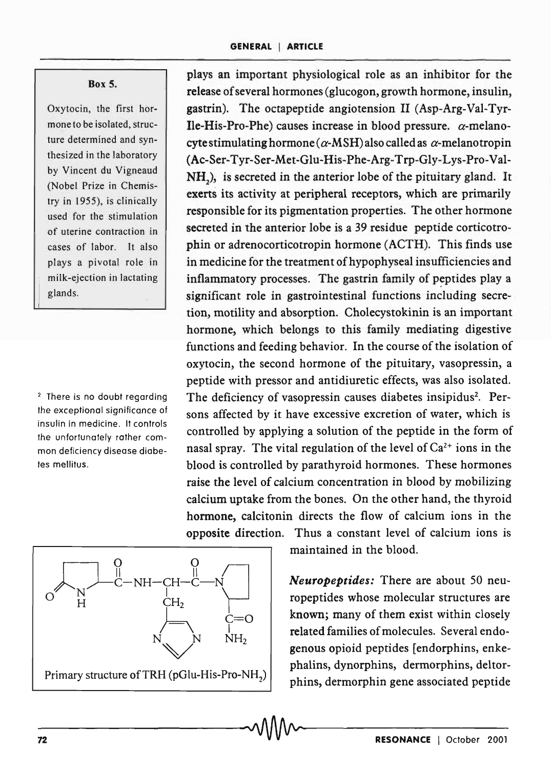## Box 5.

Oxytocin, the first hormone to be isolated, structure determined and synthesized in the laboratory by Vincent du Vigneaud (Nobel Prize in Chemistry in 1955), is clinically used for the stimulation of uterine contraction in cases of labor. It also plays a pivotal role in milk-ejection in lactating glands.

2 There is no doubt regarding the exceptional significance of insulin in medicine. It controls the unfortunately rather common deficiency disease diabetes mellitus.



plays an important physiological role as an inhibitor for the release of several hormones (glucogon, growth hormone, insulin, gastrin). The octapeptide angiotension II (Asp-Arg-Val-Tyr-Ile-His-Pro-Phe) causes increase in blood pressure.  $\alpha$ -melanocyte stimulating hormone ( $\alpha$ -MSH) also called as  $\alpha$ -melanotropin (Ac-Ser-Tyr-Ser-Met-Glu-His-Phe-Arg-Trp-Gly-Lys-Pro-Val- $NH<sub>2</sub>$ ), is secreted in the anterior lobe of the pituitary gland. It exerts its activity at peripheral receptors, which are primarily responsible for its pigmentation properties. The other hormone secreted in the anterior lobe is a 39 residue peptide corticotrophin or adrenocorticotropin hormone (ACTH). This finds use in medicine for the treatment of hypophyseal insufficiencies and inflammatory processes. The gastrin family of peptides play a significant role in gastrointestinal functions including secretion, motility and absorption. Cholecystokinin is an important hormone, which belongs to this family mediating digestive functions and feeding behavior. In the course of the isolation of oxytocin, the second hormone of the pituitary, vasopressin, a peptide with pressor and antidiuretic effects, was also isolated. The deficiency of vasopressin causes diabetes insipidus<sup>2</sup>. Persons affected by it have excessive excretion of water, which is controlled by applying a solution of the peptide in the form of nasal spray. The vital regulation of the level of  $Ca^{2+}$  ions in the blood is controlled by parathyroid hormones. These hormones raise the level of calcium concentration in blood by mobilizing calcium uptake from the bones. On the other hand, the thyroid hormone, calcitonin directs the flow of calcium ions in the opposite direction. Thus a constant level of calcium ions is

maintained in the blood.

*Neuropeptides:* There are about 50 neuropeptides whose molecular structures are known; many of them exist within closely related families of molecules. Several endogenous opioid peptides [endorphins, enkephalins, dynorphins, dermorphins, deltorphins, dermorphin gene associated peptide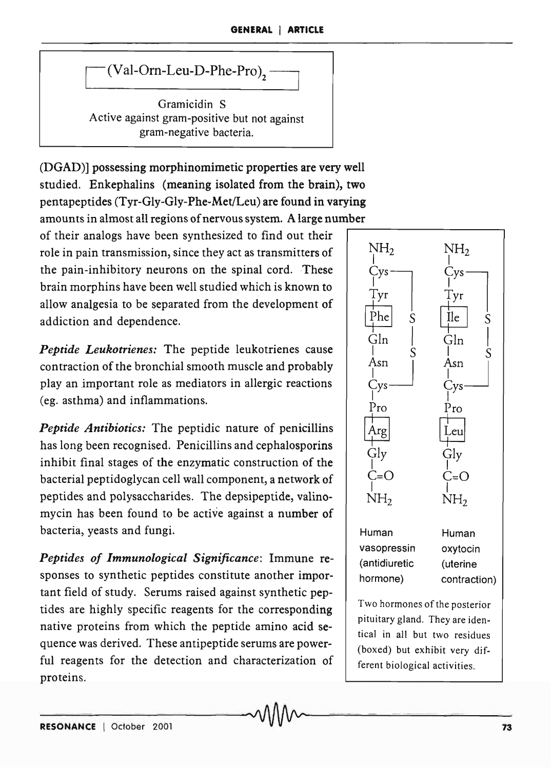$(Val-Orn-Leu-D-Phe-Pro)$ ,

Gramicidin S Active against gram-positive but not against gram-negative bacteria.

(DGAD)] possessing morphinomimetic properties are very well studied. Enkephalins (meaning isolated from the brain), two pentapeptides (Tyr-Gly-Gly-Phe-Met/Leu) are found in varying amounts in almost all regions of nervous system. A large number

of their analogs have been synthesized to find out their role in pain transmission, since they act as transmitters of the pain-inhibitory neurons on the spinal cord. These brain morphins have been well studied which is known to allow analgesia to be separated from the development of addiction and dependence.

*Peptide Leukotrienes:* The peptide leukotrienes cause contraction of the bronchial smooth muscle and probably play an important role as mediators in allergic reactions (eg. asthma) and inflammations.

*Peptide Antibiotics:* The peptidic nature of penicillins has long been recognised. Penicillins and cephalosporins inhibit final stages of the enzymatic construction of the bacterial peptidoglycan cell wall component, a network of peptides and polysaccharides. The depsipeptide, valinomycin has been found to be active against a number of bacteria) yeasts and fungi.

*Peptides of Immunological Significance:* Immune responses to synthetic peptides constitute another important field of study. Serums raised against synthetic peptides are highly specific reagents for the corresponding native proteins from which the peptide amino acid sequence was derived. These antipeptide serums are powerful reagents for the detection and characterization of proteins.



(boxed) but exhibit very different biological activities.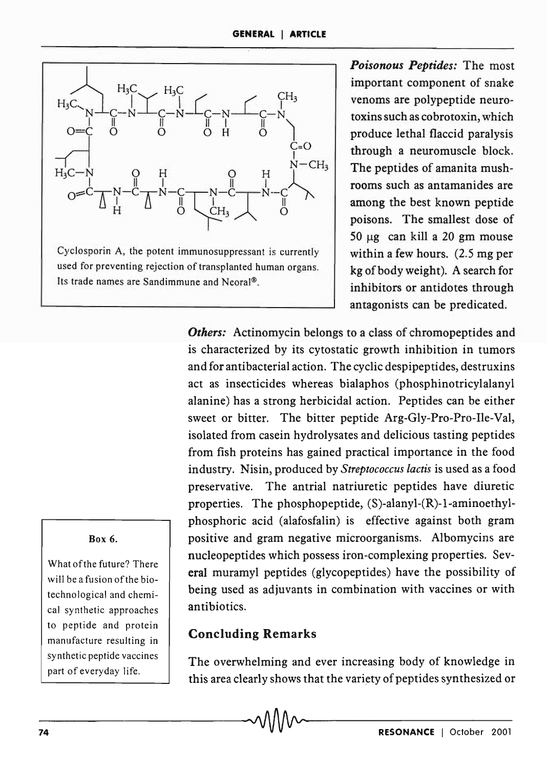

*Poisonous Peptides:* The most important component of snake venoms are polypeptide neurotoxins such as cobrotoxin, which produce lethal flaccid paralysis through a neuromuscle block. The peptides of amanita mushrooms such as antamanides are among the best known peptide poisons. The smallest dose of  $50 \mu g$  can kill a 20 gm mouse within a few hours. (2.5 mg per kg of body weight). A search for inhibitors or antidotes through antagonists can be predicated.

*Others:* Actinomycin belongs to a class of chromopeptides and is characterized by its cytostatic growth inhibition in tumors and for antibacterial action. The cyclic despipeptides, destruxins act as insecticides whereas bialaphos (phosphinotricylalanyl alanine) has a strong herbicidal action. Peptides can be either sweet or bitter. The bitter peptide Arg-Gly-Pro-Pro-Ile-Val, isolated from casein hydrolysates and delicious tasting peptides from fish proteins has gained practical importance in the food industry. Nisin, produced by *Streptococcus lactis* is used as a food preservative. The antrial natriuretic peptides have diuretic properties. The phosphopeptide, (S)-alanyl-(R)-l-aminoethylphosphoric acid (alafosfalin) is effective against both gram positive and gram negative microorganisms. Albomycins are nucleopeptides which possess iron-complexing properties. Several muramyl peptides (glycopeptides) have the possibility of being used as adjuvants in combination with vaccines or with antibiotics.

# Concluding Remarks

-74-------------------------------~------------R-E-S-O-N-A-N-C-E--I-O-c-to-b-e-r-2-0-0-1

The overwhelming and ever increasing body of knowledge in this area clearly shows that the variety of peptides synthesized or

## Box 6.

What of the future? There will be a fusion of the biotechnological and chemical synthetic approaches to peptide and protein manufacture resulting in synthetic peptide vaccines part of everyday life.